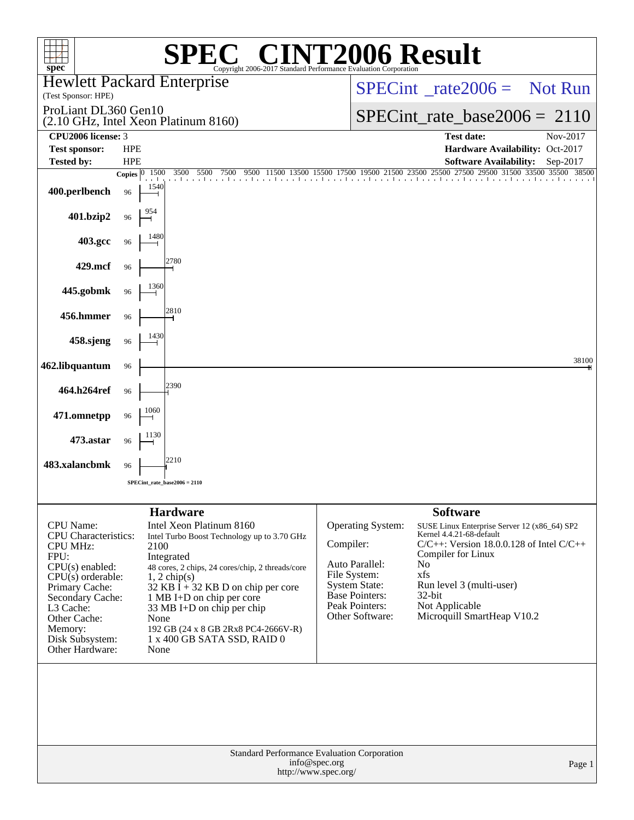| spec <sup>®</sup>                                                                                                                                                                             |                                                            | $\left[\begin{array}{c} \text{I} \circledR & \text{I} \end{array}\right]$<br>Copyright 2006-2017 Standard Performance Evaluation Corporation                                                                                                                                                                                |                                |                                                                                                                                                  | <b>72006 Result</b>                                                                                                                                                                                                                                   |          |  |  |
|-----------------------------------------------------------------------------------------------------------------------------------------------------------------------------------------------|------------------------------------------------------------|-----------------------------------------------------------------------------------------------------------------------------------------------------------------------------------------------------------------------------------------------------------------------------------------------------------------------------|--------------------------------|--------------------------------------------------------------------------------------------------------------------------------------------------|-------------------------------------------------------------------------------------------------------------------------------------------------------------------------------------------------------------------------------------------------------|----------|--|--|
| (Test Sponsor: HPE)                                                                                                                                                                           |                                                            | <b>Hewlett Packard Enterprise</b>                                                                                                                                                                                                                                                                                           |                                | $SPECint^{\circ}$ rate $2006 =$ Not Run                                                                                                          |                                                                                                                                                                                                                                                       |          |  |  |
| ProLiant DL360 Gen10                                                                                                                                                                          |                                                            | (2.10 GHz, Intel Xeon Platinum 8160)                                                                                                                                                                                                                                                                                        | $SPECint_rate_base2006 = 2110$ |                                                                                                                                                  |                                                                                                                                                                                                                                                       |          |  |  |
| CPU2006 license: 3                                                                                                                                                                            |                                                            |                                                                                                                                                                                                                                                                                                                             |                                |                                                                                                                                                  | <b>Test date:</b>                                                                                                                                                                                                                                     | Nov-2017 |  |  |
| <b>Test sponsor:</b><br><b>Tested by:</b>                                                                                                                                                     | <b>HPE</b><br><b>HPE</b>                                   |                                                                                                                                                                                                                                                                                                                             |                                |                                                                                                                                                  | Hardware Availability: Oct-2017<br><b>Software Availability:</b>                                                                                                                                                                                      | Sep-2017 |  |  |
|                                                                                                                                                                                               | Copies $\begin{array}{ l} 0 & \overline{1500} \end{array}$ | 3500 5500<br>7500<br>9500                                                                                                                                                                                                                                                                                                   |                                |                                                                                                                                                  | 11500 13500 17500 17500 19500 21500 23500 27500 27500 29500 31500 33500 35500 38500                                                                                                                                                                   |          |  |  |
| 400.perlbench                                                                                                                                                                                 | 96                                                         | 1540                                                                                                                                                                                                                                                                                                                        |                                |                                                                                                                                                  |                                                                                                                                                                                                                                                       |          |  |  |
| 401.bzip2                                                                                                                                                                                     | 96                                                         |                                                                                                                                                                                                                                                                                                                             |                                |                                                                                                                                                  |                                                                                                                                                                                                                                                       |          |  |  |
| 403.gcc                                                                                                                                                                                       | 96                                                         |                                                                                                                                                                                                                                                                                                                             |                                |                                                                                                                                                  |                                                                                                                                                                                                                                                       |          |  |  |
| 429.mcf                                                                                                                                                                                       | 96                                                         | 2780                                                                                                                                                                                                                                                                                                                        |                                |                                                                                                                                                  |                                                                                                                                                                                                                                                       |          |  |  |
| 445.gobmk                                                                                                                                                                                     | 96                                                         |                                                                                                                                                                                                                                                                                                                             |                                |                                                                                                                                                  |                                                                                                                                                                                                                                                       |          |  |  |
| 456.hmmer                                                                                                                                                                                     | 96                                                         | 2810                                                                                                                                                                                                                                                                                                                        |                                |                                                                                                                                                  |                                                                                                                                                                                                                                                       |          |  |  |
| 458.sjeng                                                                                                                                                                                     | 96                                                         |                                                                                                                                                                                                                                                                                                                             |                                |                                                                                                                                                  |                                                                                                                                                                                                                                                       |          |  |  |
| 462.libquantum                                                                                                                                                                                | 96                                                         |                                                                                                                                                                                                                                                                                                                             |                                |                                                                                                                                                  |                                                                                                                                                                                                                                                       | 38100    |  |  |
| 464.h264ref                                                                                                                                                                                   | 96                                                         |                                                                                                                                                                                                                                                                                                                             |                                |                                                                                                                                                  |                                                                                                                                                                                                                                                       |          |  |  |
| 471.omnetpp                                                                                                                                                                                   | 96                                                         | 1060                                                                                                                                                                                                                                                                                                                        |                                |                                                                                                                                                  |                                                                                                                                                                                                                                                       |          |  |  |
| 473.astar                                                                                                                                                                                     | 96                                                         |                                                                                                                                                                                                                                                                                                                             |                                |                                                                                                                                                  |                                                                                                                                                                                                                                                       |          |  |  |
| 483.xalancbmk                                                                                                                                                                                 | 96                                                         | 2210                                                                                                                                                                                                                                                                                                                        |                                |                                                                                                                                                  |                                                                                                                                                                                                                                                       |          |  |  |
|                                                                                                                                                                                               | $SPECint_rate_base2006 = 2110$                             |                                                                                                                                                                                                                                                                                                                             |                                |                                                                                                                                                  |                                                                                                                                                                                                                                                       |          |  |  |
|                                                                                                                                                                                               |                                                            | <b>Hardware</b>                                                                                                                                                                                                                                                                                                             |                                |                                                                                                                                                  | <b>Software</b>                                                                                                                                                                                                                                       |          |  |  |
| CPU Name:<br><b>CPU</b> Characteristics:<br><b>CPU MHz:</b><br>FPU:<br>$CPU(s)$ enabled:<br>$CPU(s)$ orderable:<br>Primary Cache:<br>Secondary Cache:<br>L3 Cache:<br>Other Cache:<br>Memory: |                                                            | Intel Xeon Platinum 8160<br>Intel Turbo Boost Technology up to 3.70 GHz<br>2100<br>Integrated<br>48 cores, 2 chips, 24 cores/chip, 2 threads/core<br>$1, 2$ chip(s)<br>32 KB $\bar{I}$ + 32 KB D on chip per core<br>1 MB I+D on chip per core<br>33 MB I+D on chip per chip<br>None<br>192 GB (24 x 8 GB 2Rx8 PC4-2666V-R) | Compiler:                      | <b>Operating System:</b><br>Auto Parallel:<br>File System:<br><b>System State:</b><br><b>Base Pointers:</b><br>Peak Pointers:<br>Other Software: | SUSE Linux Enterprise Server 12 (x86_64) SP2<br>Kernel 4.4.21-68-default<br>$C/C++$ : Version 18.0.0.128 of Intel $C/C++$<br>Compiler for Linux<br>No<br>xfs<br>Run level 3 (multi-user)<br>$32$ -bit<br>Not Applicable<br>Microquill SmartHeap V10.2 |          |  |  |
| Disk Subsystem:<br>Other Hardware:                                                                                                                                                            |                                                            | 1 x 400 GB SATA SSD, RAID 0<br>None                                                                                                                                                                                                                                                                                         |                                |                                                                                                                                                  |                                                                                                                                                                                                                                                       |          |  |  |
|                                                                                                                                                                                               |                                                            |                                                                                                                                                                                                                                                                                                                             |                                |                                                                                                                                                  |                                                                                                                                                                                                                                                       |          |  |  |
| <b>Standard Performance Evaluation Corporation</b><br>info@spec.org<br>Page 1<br>http://www.spec.org/                                                                                         |                                                            |                                                                                                                                                                                                                                                                                                                             |                                |                                                                                                                                                  |                                                                                                                                                                                                                                                       |          |  |  |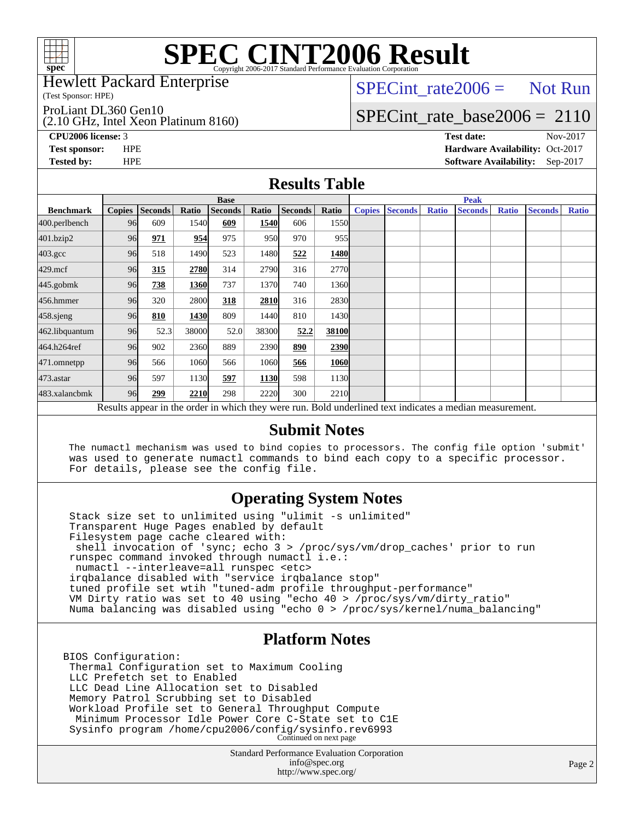

Hewlett Packard Enterprise

(Test Sponsor: HPE)

ProLiant DL360 Gen10

(2.10 GHz, Intel Xeon Platinum 8160)

 $SPECTnt_rate2006 = Not Run$ 

# [SPECint\\_rate\\_base2006 =](http://www.spec.org/auto/cpu2006/Docs/result-fields.html#SPECintratebase2006) 2110

**[CPU2006 license:](http://www.spec.org/auto/cpu2006/Docs/result-fields.html#CPU2006license)** 3 **[Test date:](http://www.spec.org/auto/cpu2006/Docs/result-fields.html#Testdate)** Nov-2017 **[Test sponsor:](http://www.spec.org/auto/cpu2006/Docs/result-fields.html#Testsponsor)** HPE **[Hardware Availability:](http://www.spec.org/auto/cpu2006/Docs/result-fields.html#HardwareAvailability)** Oct-2017 **[Tested by:](http://www.spec.org/auto/cpu2006/Docs/result-fields.html#Testedby)** HPE **[Software Availability:](http://www.spec.org/auto/cpu2006/Docs/result-fields.html#SoftwareAvailability)** Sep-2017

#### **[Results Table](http://www.spec.org/auto/cpu2006/Docs/result-fields.html#ResultsTable)**

|                    | <b>Base</b>                                                                                              |                |       |                |       |         |               | <b>Peak</b>   |                |              |                |              |                |              |
|--------------------|----------------------------------------------------------------------------------------------------------|----------------|-------|----------------|-------|---------|---------------|---------------|----------------|--------------|----------------|--------------|----------------|--------------|
| <b>Benchmark</b>   | <b>Copies</b>                                                                                            | <b>Seconds</b> | Ratio | <b>Seconds</b> | Ratio | Seconds | Ratio         | <b>Copies</b> | <b>Seconds</b> | <b>Ratio</b> | <b>Seconds</b> | <b>Ratio</b> | <b>Seconds</b> | <b>Ratio</b> |
| 400.perlbench      | 96                                                                                                       | 609            | 1540  | 609            | 1540  | 606     | 1550          |               |                |              |                |              |                |              |
| 401.bzip2          | 96                                                                                                       | 971            | 954   | 975            | 950   | 970     | 955           |               |                |              |                |              |                |              |
| $403.\mathrm{gcc}$ | 96                                                                                                       | 518            | 1490  | 523            | 1480  | 522     | 1480          |               |                |              |                |              |                |              |
| $429$ .mcf         | 96                                                                                                       | 315            | 2780  | 314            | 2790  | 316     | 2770          |               |                |              |                |              |                |              |
| $445$ .gobm $k$    | 96                                                                                                       | 738            | 1360  | 737            | 1370  | 740     | 1360          |               |                |              |                |              |                |              |
| 456.hmmer          | 96                                                                                                       | 320            | 2800  | 318            | 2810  | 316     | 2830          |               |                |              |                |              |                |              |
| $458$ .sjeng       | 96                                                                                                       | 810            | 1430  | 809            | 1440  | 810     | 1430 <b>I</b> |               |                |              |                |              |                |              |
| 462.libquantum     | 96                                                                                                       | 52.3           | 38000 | 52.0           | 38300 | 52.2    | 38100         |               |                |              |                |              |                |              |
| 464.h264ref        | 96                                                                                                       | 902            | 2360  | 889            | 2390  | 890     | 2390          |               |                |              |                |              |                |              |
| 471.omnetpp        | 96                                                                                                       | 566            | 1060  | 566            | 1060  | 566     | 1060          |               |                |              |                |              |                |              |
| 473.astar          | 96                                                                                                       | 597            | 1130  | 597            | 1130  | 598     | 1130          |               |                |              |                |              |                |              |
| 483.xalancbmk      | 96                                                                                                       | 299            | 2210  | 298            | 2220  | 300     | 2210          |               |                |              |                |              |                |              |
|                    | Results appear in the order in which they were run. Bold underlined text indicates a median measurement. |                |       |                |       |         |               |               |                |              |                |              |                |              |

#### **[Submit Notes](http://www.spec.org/auto/cpu2006/Docs/result-fields.html#SubmitNotes)**

 The numactl mechanism was used to bind copies to processors. The config file option 'submit' was used to generate numactl commands to bind each copy to a specific processor. For details, please see the config file.

### **[Operating System Notes](http://www.spec.org/auto/cpu2006/Docs/result-fields.html#OperatingSystemNotes)**

 Stack size set to unlimited using "ulimit -s unlimited" Transparent Huge Pages enabled by default Filesystem page cache cleared with: shell invocation of 'sync; echo 3 > /proc/sys/vm/drop\_caches' prior to run runspec command invoked through numactl i.e.: numactl --interleave=all runspec <etc> irqbalance disabled with "service irqbalance stop" tuned profile set wtih "tuned-adm profile throughput-performance" VM Dirty ratio was set to 40 using "echo 40 > /proc/sys/vm/dirty\_ratio" Numa balancing was disabled using "echo 0 > /proc/sys/kernel/numa\_balancing"

#### **[Platform Notes](http://www.spec.org/auto/cpu2006/Docs/result-fields.html#PlatformNotes)**

BIOS Configuration: Thermal Configuration set to Maximum Cooling LLC Prefetch set to Enabled LLC Dead Line Allocation set to Disabled Memory Patrol Scrubbing set to Disabled Workload Profile set to General Throughput Compute Minimum Processor Idle Power Core C-State set to C1E Sysinfo program /home/cpu2006/config/sysinfo.rev6993 Continued on next page

> Standard Performance Evaluation Corporation [info@spec.org](mailto:info@spec.org) <http://www.spec.org/>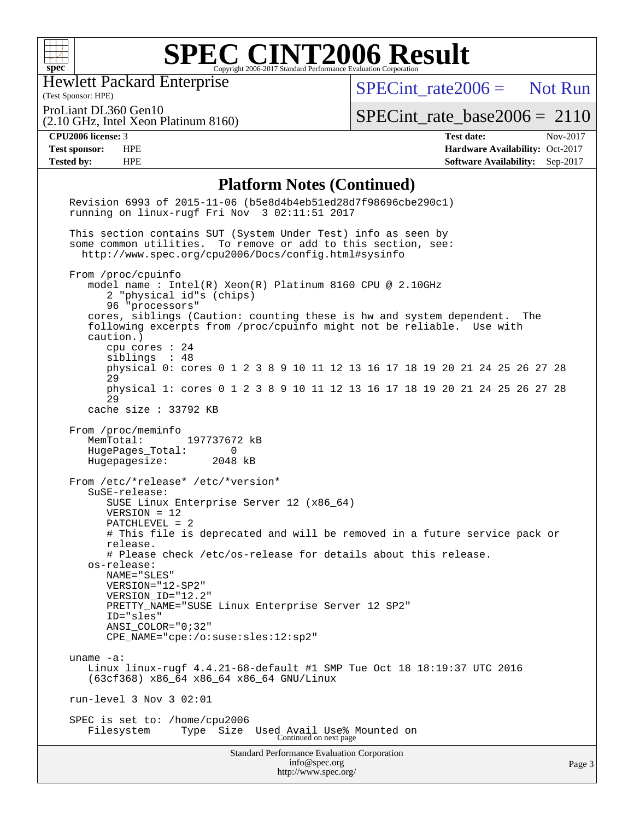

Hewlett Packard Enterprise

[SPECint\\_rate2006 =](http://www.spec.org/auto/cpu2006/Docs/result-fields.html#SPECintrate2006) Not Run

(Test Sponsor: HPE) ProLiant DL360 Gen10

(2.10 GHz, Intel Xeon Platinum 8160)

[SPECint\\_rate\\_base2006 =](http://www.spec.org/auto/cpu2006/Docs/result-fields.html#SPECintratebase2006) 2110

**[CPU2006 license:](http://www.spec.org/auto/cpu2006/Docs/result-fields.html#CPU2006license)** 3 **[Test date:](http://www.spec.org/auto/cpu2006/Docs/result-fields.html#Testdate)** Nov-2017 **[Test sponsor:](http://www.spec.org/auto/cpu2006/Docs/result-fields.html#Testsponsor)** HPE **[Hardware Availability:](http://www.spec.org/auto/cpu2006/Docs/result-fields.html#HardwareAvailability)** Oct-2017 **[Tested by:](http://www.spec.org/auto/cpu2006/Docs/result-fields.html#Testedby)** HPE **[Software Availability:](http://www.spec.org/auto/cpu2006/Docs/result-fields.html#SoftwareAvailability)** Sep-2017

#### **[Platform Notes \(Continued\)](http://www.spec.org/auto/cpu2006/Docs/result-fields.html#PlatformNotes)**

| <b>Standard Performance Evaluation Corporation</b><br>info@spec.org<br>http://www.spec.org/                                                                                            | Page 3 |
|----------------------------------------------------------------------------------------------------------------------------------------------------------------------------------------|--------|
| SPEC is set to: /home/cpu2006<br>Filesystem<br>Type<br>Size<br>Used Avail Use% Mounted on<br>Continued on next page                                                                    |        |
| run-level $3$ Nov $3$ 02:01                                                                                                                                                            |        |
| uname $-a$ :<br>Linux linux-rugf 4.4.21-68-default #1 SMP Tue Oct 18 18:19:37 UTC 2016<br>(63cf368) x86_64 x86_64 x86_64 GNU/Linux                                                     |        |
| PRETTY_NAME="SUSE Linux Enterprise Server 12 SP2"<br>ID="sles"<br>$ANSI\_COLOR = "0; 32"$<br>CPE_NAME="cpe:/o:suse:sles:12:sp2"                                                        |        |
| NAME="SLES"<br>VERSION="12-SP2"<br>VERSION ID="12.2"                                                                                                                                   |        |
| # Please check /etc/os-release for details about this release.<br>os-release:                                                                                                          |        |
| $PATCHLEVEL = 2$<br># This file is deprecated and will be removed in a future service pack or<br>release.                                                                              |        |
| SuSE-release:<br>SUSE Linux Enterprise Server 12 (x86_64)<br>$VERSION = 12$                                                                                                            |        |
| HugePages_Total: 0<br>Hugepagesize: 2048 kB<br>From /etc/*release* /etc/*version*                                                                                                      |        |
| From /proc/meminfo<br>MemTotal: 197737672 kB                                                                                                                                           |        |
| cache size $: 33792$ KB                                                                                                                                                                |        |
| physical 1: cores 0 1 2 3 8 9 10 11 12 13 16 17 18 19 20 21 24 25 26 27 28<br>29                                                                                                       |        |
| siblings : 48<br>physical 0: cores 0 1 2 3 8 9 10 11 12 13 16 17 18 19 20 21 24 25 26 27 28<br>29                                                                                      |        |
| caution.)<br>cpu cores $: 24$                                                                                                                                                          |        |
| cores, siblings (Caution: counting these is hw and system dependent.<br>The<br>following excerpts from /proc/cpuinfo might not be reliable. Use with                                   |        |
| model name: $Intel(R)$ Xeon $(R)$ Platinum 8160 CPU @ 2.10GHz<br>2 "physical id"s (chips)<br>96 "processors"                                                                           |        |
| From /proc/cpuinfo                                                                                                                                                                     |        |
| This section contains SUT (System Under Test) info as seen by<br>some common utilities. To remove or add to this section, see:<br>http://www.spec.org/cpu2006/Docs/config.html#sysinfo |        |
| running on linux-rugf Fri Nov 3 02:11:51 2017                                                                                                                                          |        |
| Revision 6993 of 2015-11-06 (b5e8d4b4eb51ed28d7f98696cbe290c1)                                                                                                                         |        |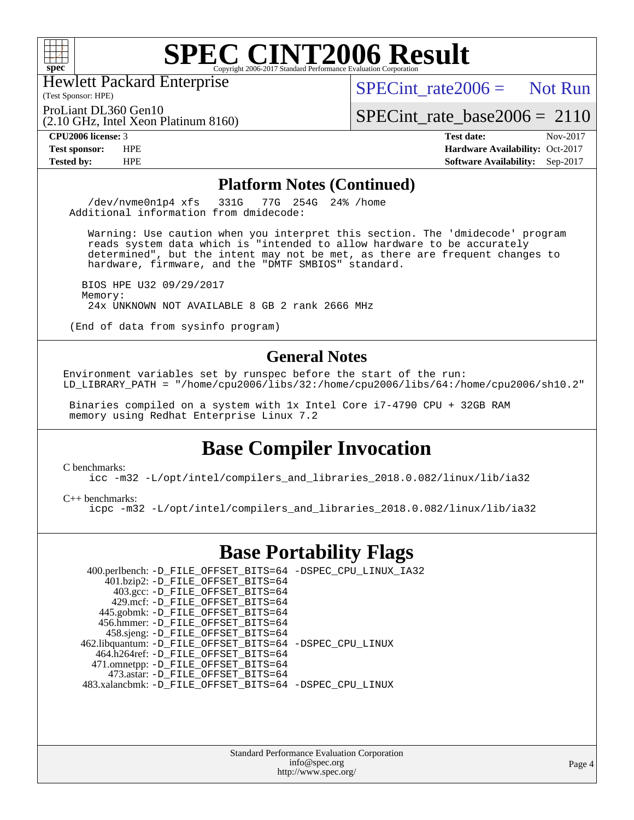

Hewlett Packard Enterprise

(2.10 GHz, Intel Xeon Platinum 8160)

 $SPECTnt_rate2006 = Not Run$ 

(Test Sponsor: HPE) ProLiant DL360 Gen10

[SPECint\\_rate\\_base2006 =](http://www.spec.org/auto/cpu2006/Docs/result-fields.html#SPECintratebase2006) 2110

**[CPU2006 license:](http://www.spec.org/auto/cpu2006/Docs/result-fields.html#CPU2006license)** 3 **[Test date:](http://www.spec.org/auto/cpu2006/Docs/result-fields.html#Testdate)** Nov-2017 **[Test sponsor:](http://www.spec.org/auto/cpu2006/Docs/result-fields.html#Testsponsor)** HPE **[Hardware Availability:](http://www.spec.org/auto/cpu2006/Docs/result-fields.html#HardwareAvailability)** Oct-2017 **[Tested by:](http://www.spec.org/auto/cpu2006/Docs/result-fields.html#Testedby)** HPE **[Software Availability:](http://www.spec.org/auto/cpu2006/Docs/result-fields.html#SoftwareAvailability)** Sep-2017

#### **[Platform Notes \(Continued\)](http://www.spec.org/auto/cpu2006/Docs/result-fields.html#PlatformNotes)**

 /dev/nvme0n1p4 xfs 331G 77G 254G 24% /home Additional information from dmidecode:

 Warning: Use caution when you interpret this section. The 'dmidecode' program reads system data which is "intended to allow hardware to be accurately determined", but the intent may not be met, as there are frequent changes to hardware, firmware, and the "DMTF SMBIOS" standard.

 BIOS HPE U32 09/29/2017 Memory: 24x UNKNOWN NOT AVAILABLE 8 GB 2 rank 2666 MHz

(End of data from sysinfo program)

#### **[General Notes](http://www.spec.org/auto/cpu2006/Docs/result-fields.html#GeneralNotes)**

Environment variables set by runspec before the start of the run: LD\_LIBRARY\_PATH = "/home/cpu2006/libs/32:/home/cpu2006/libs/64:/home/cpu2006/sh10.2"

 Binaries compiled on a system with 1x Intel Core i7-4790 CPU + 32GB RAM memory using Redhat Enterprise Linux 7.2

### **[Base Compiler Invocation](http://www.spec.org/auto/cpu2006/Docs/result-fields.html#BaseCompilerInvocation)**

[C benchmarks](http://www.spec.org/auto/cpu2006/Docs/result-fields.html#Cbenchmarks):

[icc -m32 -L/opt/intel/compilers\\_and\\_libraries\\_2018.0.082/linux/lib/ia32](http://www.spec.org/cpu2006/results/res2017q4/cpu2006-20171114-50634.flags.html#user_CCbase_intel_icc_355c401af4d5dc87e09103a6bbcae1c6)

[C++ benchmarks:](http://www.spec.org/auto/cpu2006/Docs/result-fields.html#CXXbenchmarks)

[icpc -m32 -L/opt/intel/compilers\\_and\\_libraries\\_2018.0.082/linux/lib/ia32](http://www.spec.org/cpu2006/results/res2017q4/cpu2006-20171114-50634.flags.html#user_CXXbase_intel_icpc_b34a6f497613b30bc6bf10051974f22f)

### **[Base Portability Flags](http://www.spec.org/auto/cpu2006/Docs/result-fields.html#BasePortabilityFlags)**

| 400.perlbench: -D_FILE_OFFSET_BITS=64 -DSPEC_CPU_LINUX_IA32 |  |
|-------------------------------------------------------------|--|
| 401.bzip2: -D_FILE_OFFSET_BITS=64                           |  |
| 403.gcc: -D_FILE_OFFSET_BITS=64                             |  |
| 429.mcf: -D FILE OFFSET BITS=64                             |  |
| 445.gobmk: -D_FILE_OFFSET_BITS=64                           |  |
| 456.hmmer: -D FILE OFFSET BITS=64                           |  |
| 458.sjeng: -D_FILE_OFFSET_BITS=64                           |  |
| 462.libquantum: -D_FILE_OFFSET_BITS=64 -DSPEC_CPU_LINUX     |  |
| 464.h264ref: -D_FILE_OFFSET_BITS=64                         |  |
| 471.omnetpp: -D_FILE_OFFSET_BITS=64                         |  |
| 473.astar: -D FILE OFFSET BITS=64                           |  |
| 483.xalancbmk: -D FILE OFFSET BITS=64 -DSPEC CPU LINUX      |  |

Standard Performance Evaluation Corporation [info@spec.org](mailto:info@spec.org) <http://www.spec.org/>